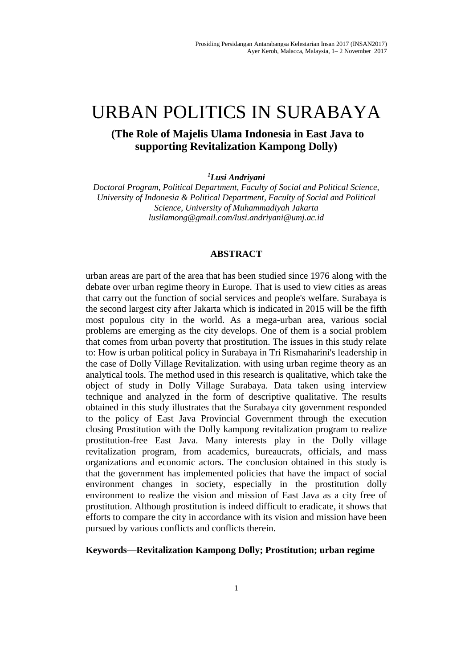# URBAN POLITICS IN SURABAYA

## **(The Role of Majelis Ulama Indonesia in East Java to supporting Revitalization Kampong Dolly)**

*<sup>1</sup>Lusi Andriyani*

*Doctoral Program, Political Department, Faculty of Social and Political Science, University of Indonesia & Political Department, Faculty of Social and Political Science, University of Muhammadiyah Jakarta lusilamong@gmail.com/lusi.andriyani@umj.ac.id*

#### **ABSTRACT**

urban areas are part of the area that has been studied since 1976 along with the debate over urban regime theory in Europe. That is used to view cities as areas that carry out the function of social services and people's welfare. Surabaya is the second largest city after Jakarta which is indicated in 2015 will be the fifth most populous city in the world. As a mega-urban area, various social problems are emerging as the city develops. One of them is a social problem that comes from urban poverty that prostitution. The issues in this study relate to: How is urban political policy in Surabaya in Tri Rismaharini's leadership in the case of Dolly Village Revitalization. with using urban regime theory as an analytical tools. The method used in this research is qualitative, which take the object of study in Dolly Village Surabaya. Data taken using interview technique and analyzed in the form of descriptive qualitative. The results obtained in this study illustrates that the Surabaya city government responded to the policy of East Java Provincial Government through the execution closing Prostitution with the Dolly kampong revitalization program to realize prostitution-free East Java. Many interests play in the Dolly village revitalization program, from academics, bureaucrats, officials, and mass organizations and economic actors. The conclusion obtained in this study is that the government has implemented policies that have the impact of social environment changes in society, especially in the prostitution dolly environment to realize the vision and mission of East Java as a city free of prostitution. Although prostitution is indeed difficult to eradicate, it shows that efforts to compare the city in accordance with its vision and mission have been pursued by various conflicts and conflicts therein.

**Keywords—Revitalization Kampong Dolly; Prostitution; urban regime**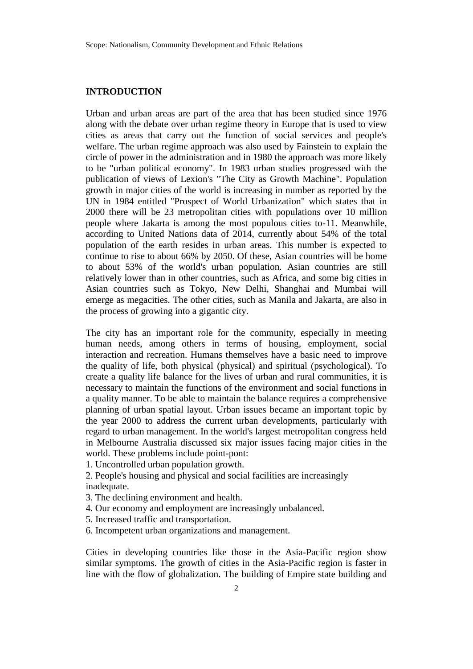#### **INTRODUCTION**

Urban and urban areas are part of the area that has been studied since 1976 along with the debate over urban regime theory in Europe that is used to view cities as areas that carry out the function of social services and people's welfare. The urban regime approach was also used by Fainstein to explain the circle of power in the administration and in 1980 the approach was more likely to be "urban political economy". In 1983 urban studies progressed with the publication of views of Lexion's "The City as Growth Machine". Population growth in major cities of the world is increasing in number as reported by the UN in 1984 entitled "Prospect of World Urbanization" which states that in 2000 there will be 23 metropolitan cities with populations over 10 million people where Jakarta is among the most populous cities to-11. Meanwhile, according to United Nations data of 2014, currently about 54% of the total population of the earth resides in urban areas. This number is expected to continue to rise to about 66% by 2050. Of these, Asian countries will be home to about 53% of the world's urban population. Asian countries are still relatively lower than in other countries, such as Africa, and some big cities in Asian countries such as Tokyo, New Delhi, Shanghai and Mumbai will emerge as megacities. The other cities, such as Manila and Jakarta, are also in the process of growing into a gigantic city.

The city has an important role for the community, especially in meeting human needs, among others in terms of housing, employment, social interaction and recreation. Humans themselves have a basic need to improve the quality of life, both physical (physical) and spiritual (psychological). To create a quality life balance for the lives of urban and rural communities, it is necessary to maintain the functions of the environment and social functions in a quality manner. To be able to maintain the balance requires a comprehensive planning of urban spatial layout. Urban issues became an important topic by the year 2000 to address the current urban developments, particularly with regard to urban management. In the world's largest metropolitan congress held in Melbourne Australia discussed six major issues facing major cities in the world. These problems include point-pont:

1. Uncontrolled urban population growth.

2. People's housing and physical and social facilities are increasingly inadequate.

- 3. The declining environment and health.
- 4. Our economy and employment are increasingly unbalanced.
- 5. Increased traffic and transportation.
- 6. Incompetent urban organizations and management.

Cities in developing countries like those in the Asia-Pacific region show similar symptoms. The growth of cities in the Asia-Pacific region is faster in line with the flow of globalization. The building of Empire state building and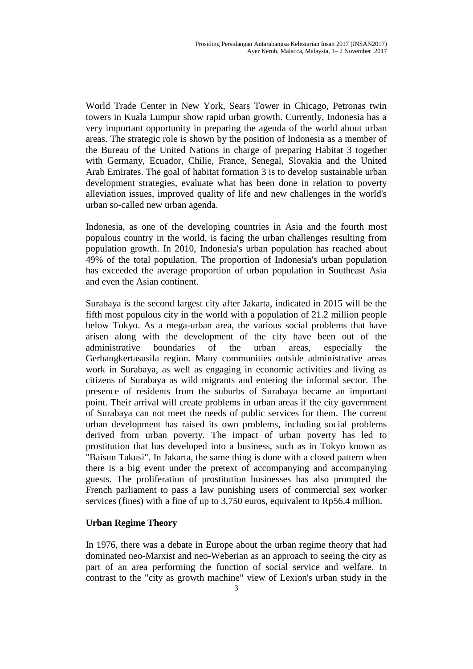World Trade Center in New York, Sears Tower in Chicago, Petronas twin towers in Kuala Lumpur show rapid urban growth. Currently, Indonesia has a very important opportunity in preparing the agenda of the world about urban areas. The strategic role is shown by the position of Indonesia as a member of the Bureau of the United Nations in charge of preparing Habitat 3 together with Germany, Ecuador, Chilie, France, Senegal, Slovakia and the United Arab Emirates. The goal of habitat formation 3 is to develop sustainable urban development strategies, evaluate what has been done in relation to poverty alleviation issues, improved quality of life and new challenges in the world's urban so-called new urban agenda.

Indonesia, as one of the developing countries in Asia and the fourth most populous country in the world, is facing the urban challenges resulting from population growth. In 2010, Indonesia's urban population has reached about 49% of the total population. The proportion of Indonesia's urban population has exceeded the average proportion of urban population in Southeast Asia and even the Asian continent.

Surabaya is the second largest city after Jakarta, indicated in 2015 will be the fifth most populous city in the world with a population of 21.2 million people below Tokyo. As a mega-urban area, the various social problems that have arisen along with the development of the city have been out of the administrative boundaries of the urban areas, especially the Gerbangkertasusila region. Many communities outside administrative areas work in Surabaya, as well as engaging in economic activities and living as citizens of Surabaya as wild migrants and entering the informal sector. The presence of residents from the suburbs of Surabaya became an important point. Their arrival will create problems in urban areas if the city government of Surabaya can not meet the needs of public services for them. The current urban development has raised its own problems, including social problems derived from urban poverty. The impact of urban poverty has led to prostitution that has developed into a business, such as in Tokyo known as "Baisun Takusi". In Jakarta, the same thing is done with a closed pattern when there is a big event under the pretext of accompanying and accompanying guests. The proliferation of prostitution businesses has also prompted the French parliament to pass a law punishing users of commercial sex worker services (fines) with a fine of up to 3,750 euros, equivalent to Rp56.4 million.

## **Urban Regime Theory**

In 1976, there was a debate in Europe about the urban regime theory that had dominated neo-Marxist and neo-Weberian as an approach to seeing the city as part of an area performing the function of social service and welfare. In contrast to the "city as growth machine" view of Lexion's urban study in the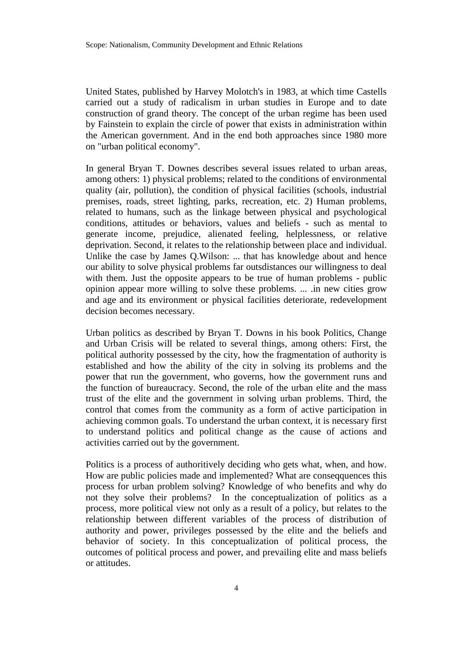United States, published by Harvey Molotch's in 1983, at which time Castells carried out a study of radicalism in urban studies in Europe and to date construction of grand theory. The concept of the urban regime has been used by Fainstein to explain the circle of power that exists in administration within the American government. And in the end both approaches since 1980 more on "urban political economy".

In general Bryan T. Downes describes several issues related to urban areas, among others: 1) physical problems; related to the conditions of environmental quality (air, pollution), the condition of physical facilities (schools, industrial premises, roads, street lighting, parks, recreation, etc. 2) Human problems, related to humans, such as the linkage between physical and psychological conditions, attitudes or behaviors, values and beliefs - such as mental to generate income, prejudice, alienated feeling, helplessness, or relative deprivation. Second, it relates to the relationship between place and individual. Unlike the case by James Q.Wilson: ... that has knowledge about and hence our ability to solve physical problems far outsdistances our willingness to deal with them. Just the opposite appears to be true of human problems - public opinion appear more willing to solve these problems. ... .in new cities grow and age and its environment or physical facilities deteriorate, redevelopment decision becomes necessary.

Urban politics as described by Bryan T. Downs in his book Politics, Change and Urban Crisis will be related to several things, among others: First, the political authority possessed by the city, how the fragmentation of authority is established and how the ability of the city in solving its problems and the power that run the government, who governs, how the government runs and the function of bureaucracy. Second, the role of the urban elite and the mass trust of the elite and the government in solving urban problems. Third, the control that comes from the community as a form of active participation in achieving common goals. To understand the urban context, it is necessary first to understand politics and political change as the cause of actions and activities carried out by the government.

Politics is a process of authoritively deciding who gets what, when, and how. How are public policies made and implemented? What are conseqquences this process for urban problem solving? Knowledge of who benefits and why do not they solve their problems? In the conceptualization of politics as a process, more political view not only as a result of a policy, but relates to the relationship between different variables of the process of distribution of authority and power, privileges possessed by the elite and the beliefs and behavior of society. In this conceptualization of political process, the outcomes of political process and power, and prevailing elite and mass beliefs or attitudes.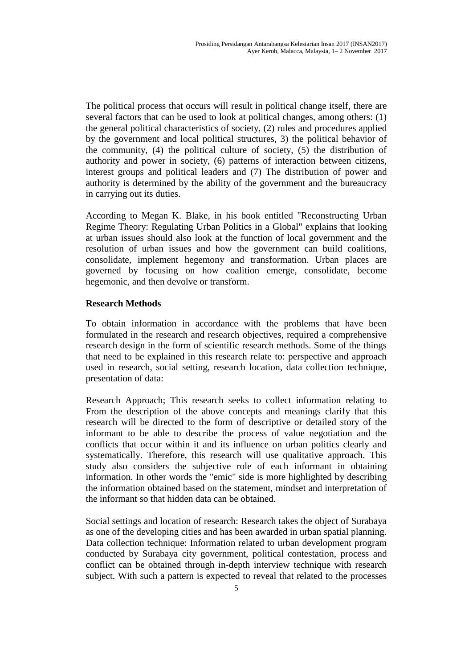The political process that occurs will result in political change itself, there are several factors that can be used to look at political changes, among others: (1) the general political characteristics of society, (2) rules and procedures applied by the government and local political structures, 3) the political behavior of the community, (4) the political culture of society, (5) the distribution of authority and power in society, (6) patterns of interaction between citizens, interest groups and political leaders and (7) The distribution of power and authority is determined by the ability of the government and the bureaucracy in carrying out its duties.

According to Megan K. Blake, in his book entitled "Reconstructing Urban Regime Theory: Regulating Urban Politics in a Global" explains that looking at urban issues should also look at the function of local government and the resolution of urban issues and how the government can build coalitions, consolidate, implement hegemony and transformation. Urban places are governed by focusing on how coalition emerge, consolidate, become hegemonic, and then devolve or transform.

#### **Research Methods**

To obtain information in accordance with the problems that have been formulated in the research and research objectives, required a comprehensive research design in the form of scientific research methods. Some of the things that need to be explained in this research relate to: perspective and approach used in research, social setting, research location, data collection technique, presentation of data:

Research Approach; This research seeks to collect information relating to From the description of the above concepts and meanings clarify that this research will be directed to the form of descriptive or detailed story of the informant to be able to describe the process of value negotiation and the conflicts that occur within it and its influence on urban politics clearly and systematically. Therefore, this research will use qualitative approach. This study also considers the subjective role of each informant in obtaining information. In other words the "emic" side is more highlighted by describing the information obtained based on the statement, mindset and interpretation of the informant so that hidden data can be obtained.

Social settings and location of research: Research takes the object of Surabaya as one of the developing cities and has been awarded in urban spatial planning. Data collection technique: Information related to urban development program conducted by Surabaya city government, political contestation, process and conflict can be obtained through in-depth interview technique with research subject. With such a pattern is expected to reveal that related to the processes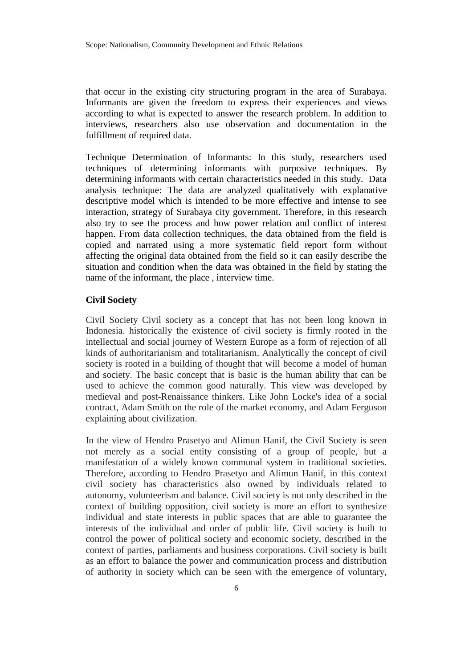that occur in the existing city structuring program in the area of Surabaya. Informants are given the freedom to express their experiences and views according to what is expected to answer the research problem. In addition to interviews, researchers also use observation and documentation in the fulfillment of required data.

Technique Determination of Informants: In this study, researchers used techniques of determining informants with purposive techniques. By determining informants with certain characteristics needed in this study. Data analysis technique: The data are analyzed qualitatively with explanative descriptive model which is intended to be more effective and intense to see interaction, strategy of Surabaya city government. Therefore, in this research also try to see the process and how power relation and conflict of interest happen. From data collection techniques, the data obtained from the field is copied and narrated using a more systematic field report form without affecting the original data obtained from the field so it can easily describe the situation and condition when the data was obtained in the field by stating the name of the informant, the place , interview time.

#### **Civil Society**

Civil Society Civil society as a concept that has not been long known in Indonesia. historically the existence of civil society is firmly rooted in the intellectual and social journey of Western Europe as a form of rejection of all kinds of authoritarianism and totalitarianism. Analytically the concept of civil society is rooted in a building of thought that will become a model of human and society. The basic concept that is basic is the human ability that can be used to achieve the common good naturally. This view was developed by medieval and post-Renaissance thinkers. Like John Locke's idea of a social contract, Adam Smith on the role of the market economy, and Adam Ferguson explaining about civilization.

In the view of Hendro Prasetyo and Alimun Hanif, the Civil Society is seen not merely as a social entity consisting of a group of people, but a manifestation of a widely known communal system in traditional societies. Therefore, according to Hendro Prasetyo and Alimun Hanif, in this context civil society has characteristics also owned by individuals related to autonomy, volunteerism and balance. Civil society is not only described in the context of building opposition, civil society is more an effort to synthesize individual and state interests in public spaces that are able to guarantee the interests of the individual and order of public life. Civil society is built to control the power of political society and economic society, described in the context of parties, parliaments and business corporations. Civil society is built as an effort to balance the power and communication process and distribution of authority in society which can be seen with the emergence of voluntary,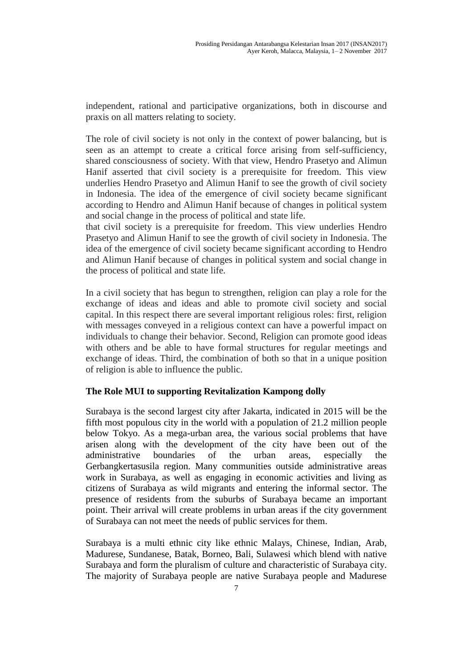independent, rational and participative organizations, both in discourse and praxis on all matters relating to society.

The role of civil society is not only in the context of power balancing, but is seen as an attempt to create a critical force arising from self-sufficiency, shared consciousness of society. With that view, Hendro Prasetyo and Alimun Hanif asserted that civil society is a prerequisite for freedom. This view underlies Hendro Prasetyo and Alimun Hanif to see the growth of civil society in Indonesia. The idea of the emergence of civil society became significant according to Hendro and Alimun Hanif because of changes in political system and social change in the process of political and state life.

that civil society is a prerequisite for freedom. This view underlies Hendro Prasetyo and Alimun Hanif to see the growth of civil society in Indonesia. The idea of the emergence of civil society became significant according to Hendro and Alimun Hanif because of changes in political system and social change in the process of political and state life.

In a civil society that has begun to strengthen, religion can play a role for the exchange of ideas and ideas and able to promote civil society and social capital. In this respect there are several important religious roles: first, religion with messages conveyed in a religious context can have a powerful impact on individuals to change their behavior. Second, Religion can promote good ideas with others and be able to have formal structures for regular meetings and exchange of ideas. Third, the combination of both so that in a unique position of religion is able to influence the public.

## **The Role MUI to supporting Revitalization Kampong dolly**

Surabaya is the second largest city after Jakarta, indicated in 2015 will be the fifth most populous city in the world with a population of 21.2 million people below Tokyo. As a mega-urban area, the various social problems that have arisen along with the development of the city have been out of the administrative boundaries of the urban areas, especially the Gerbangkertasusila region. Many communities outside administrative areas work in Surabaya, as well as engaging in economic activities and living as citizens of Surabaya as wild migrants and entering the informal sector. The presence of residents from the suburbs of Surabaya became an important point. Their arrival will create problems in urban areas if the city government of Surabaya can not meet the needs of public services for them.

Surabaya is a multi ethnic city like ethnic Malays, Chinese, Indian, Arab, Madurese, Sundanese, Batak, Borneo, Bali, Sulawesi which blend with native Surabaya and form the pluralism of culture and characteristic of Surabaya city. The majority of Surabaya people are native Surabaya people and Madurese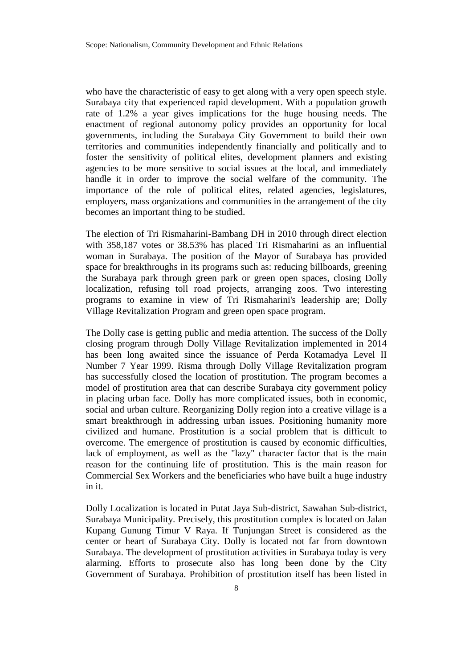who have the characteristic of easy to get along with a very open speech style. Surabaya city that experienced rapid development. With a population growth rate of 1.2% a year gives implications for the huge housing needs. The enactment of regional autonomy policy provides an opportunity for local governments, including the Surabaya City Government to build their own territories and communities independently financially and politically and to foster the sensitivity of political elites, development planners and existing agencies to be more sensitive to social issues at the local, and immediately handle it in order to improve the social welfare of the community. The importance of the role of political elites, related agencies, legislatures, employers, mass organizations and communities in the arrangement of the city becomes an important thing to be studied.

The election of Tri Rismaharini-Bambang DH in 2010 through direct election with 358,187 votes or 38.53% has placed Tri Rismaharini as an influential woman in Surabaya. The position of the Mayor of Surabaya has provided space for breakthroughs in its programs such as: reducing billboards, greening the Surabaya park through green park or green open spaces, closing Dolly localization, refusing toll road projects, arranging zoos. Two interesting programs to examine in view of Tri Rismaharini's leadership are; Dolly Village Revitalization Program and green open space program.

The Dolly case is getting public and media attention. The success of the Dolly closing program through Dolly Village Revitalization implemented in 2014 has been long awaited since the issuance of Perda Kotamadya Level II Number 7 Year 1999. Risma through Dolly Village Revitalization program has successfully closed the location of prostitution. The program becomes a model of prostitution area that can describe Surabaya city government policy in placing urban face. Dolly has more complicated issues, both in economic, social and urban culture. Reorganizing Dolly region into a creative village is a smart breakthrough in addressing urban issues. Positioning humanity more civilized and humane. Prostitution is a social problem that is difficult to overcome. The emergence of prostitution is caused by economic difficulties, lack of employment, as well as the "lazy" character factor that is the main reason for the continuing life of prostitution. This is the main reason for Commercial Sex Workers and the beneficiaries who have built a huge industry in it.

Dolly Localization is located in Putat Jaya Sub-district, Sawahan Sub-district, Surabaya Municipality. Precisely, this prostitution complex is located on Jalan Kupang Gunung Timur V Raya. If Tunjungan Street is considered as the center or heart of Surabaya City. Dolly is located not far from downtown Surabaya. The development of prostitution activities in Surabaya today is very alarming. Efforts to prosecute also has long been done by the City Government of Surabaya. Prohibition of prostitution itself has been listed in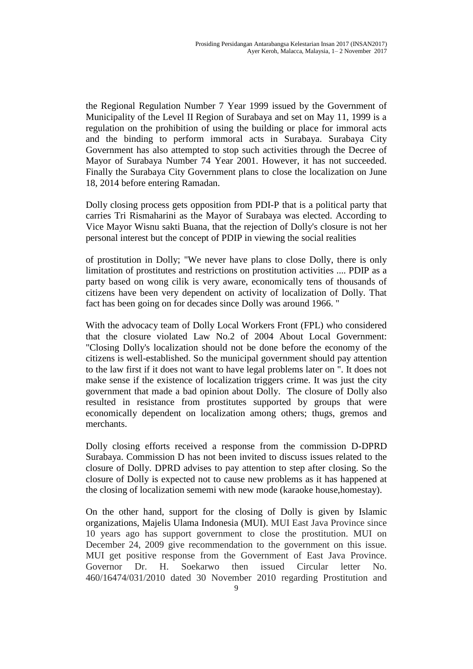the Regional Regulation Number 7 Year 1999 issued by the Government of Municipality of the Level II Region of Surabaya and set on May 11, 1999 is a regulation on the prohibition of using the building or place for immoral acts and the binding to perform immoral acts in Surabaya. Surabaya City Government has also attempted to stop such activities through the Decree of Mayor of Surabaya Number 74 Year 2001. However, it has not succeeded. Finally the Surabaya City Government plans to close the localization on June 18, 2014 before entering Ramadan.

Dolly closing process gets opposition from PDI-P that is a political party that carries Tri Rismaharini as the Mayor of Surabaya was elected. According to Vice Mayor Wisnu sakti Buana, that the rejection of Dolly's closure is not her personal interest but the concept of PDIP in viewing the social realities

of prostitution in Dolly; "We never have plans to close Dolly, there is only limitation of prostitutes and restrictions on prostitution activities .... PDIP as a party based on wong cilik is very aware, economically tens of thousands of citizens have been very dependent on activity of localization of Dolly. That fact has been going on for decades since Dolly was around 1966. "

With the advocacy team of Dolly Local Workers Front (FPL) who considered that the closure violated Law No.2 of 2004 About Local Government: "Closing Dolly's localization should not be done before the economy of the citizens is well-established. So the municipal government should pay attention to the law first if it does not want to have legal problems later on ". It does not make sense if the existence of localization triggers crime. It was just the city government that made a bad opinion about Dolly. The closure of Dolly also resulted in resistance from prostitutes supported by groups that were economically dependent on localization among others; thugs, gremos and merchants.

Dolly closing efforts received a response from the commission D-DPRD Surabaya. Commission D has not been invited to discuss issues related to the closure of Dolly. DPRD advises to pay attention to step after closing. So the closure of Dolly is expected not to cause new problems as it has happened at the closing of localization sememi with new mode (karaoke house,homestay).

On the other hand, support for the closing of Dolly is given by Islamic organizations, Majelis Ulama Indonesia (MUI). MUI East Java Province since 10 years ago has support government to close the prostitution. MUI on December 24, 2009 give recommendation to the government on this issue. MUI get positive response from the Government of East Java Province. Governor Dr. H. Soekarwo then issued Circular letter No. 460/16474/031/2010 dated 30 November 2010 regarding Prostitution and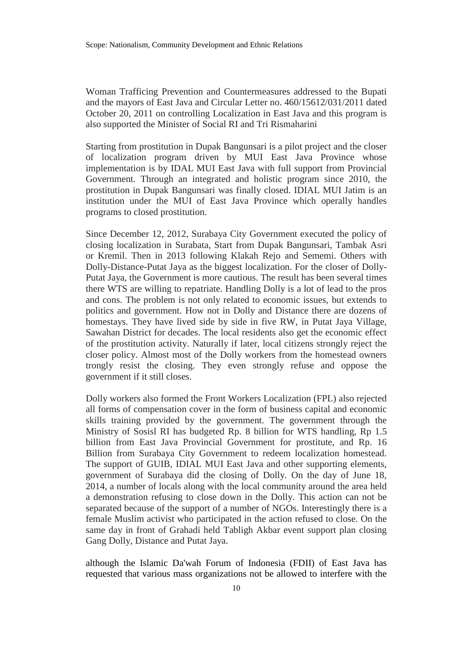Woman Trafficing Prevention and Countermeasures addressed to the Bupati and the mayors of East Java and Circular Letter no. 460/15612/031/2011 dated October 20, 2011 on controlling Localization in East Java and this program is also supported the Minister of Social RI and Tri Rismaharini

Starting from prostitution in Dupak Bangunsari is a pilot project and the closer of localization program driven by MUI East Java Province whose implementation is by IDAL MUI East Java with full support from Provincial Government. Through an integrated and holistic program since 2010, the prostitution in Dupak Bangunsari was finally closed. IDIAL MUI Jatim is an institution under the MUI of East Java Province which operally handles programs to closed prostitution.

Since December 12, 2012, Surabaya City Government executed the policy of closing localization in Surabata, Start from Dupak Bangunsari, Tambak Asri or Kremil. Then in 2013 following Klakah Rejo and Sememi. Others with Dolly-Distance-Putat Jaya as the biggest localization. For the closer of Dolly-Putat Jaya, the Government is more cautious. The result has been several times there WTS are willing to repatriate. Handling Dolly is a lot of lead to the pros and cons. The problem is not only related to economic issues, but extends to politics and government. How not in Dolly and Distance there are dozens of homestays. They have lived side by side in five RW, in Putat Jaya Village, Sawahan District for decades. The local residents also get the economic effect of the prostitution activity. Naturally if later, local citizens strongly reject the closer policy. Almost most of the Dolly workers from the homestead owners trongly resist the closing. They even strongly refuse and oppose the government if it still closes.

Dolly workers also formed the Front Workers Localization (FPL) also rejected all forms of compensation cover in the form of business capital and economic skills training provided by the government. The government through the Ministry of Sosisl RI has budgeted Rp. 8 billion for WTS handling, Rp 1.5 billion from East Java Provincial Government for prostitute, and Rp. 16 Billion from Surabaya City Government to redeem localization homestead. The support of GUIB, IDIAL MUI East Java and other supporting elements, government of Surabaya did the closing of Dolly. On the day of June 18, 2014, a number of locals along with the local community around the area held a demonstration refusing to close down in the Dolly. This action can not be separated because of the support of a number of NGOs. Interestingly there is a female Muslim activist who participated in the action refused to close. On the same day in front of Grahadi held Tabligh Akbar event support plan closing Gang Dolly, Distance and Putat Jaya.

although the Islamic Da'wah Forum of Indonesia (FDII) of East Java has requested that various mass organizations not be allowed to interfere with the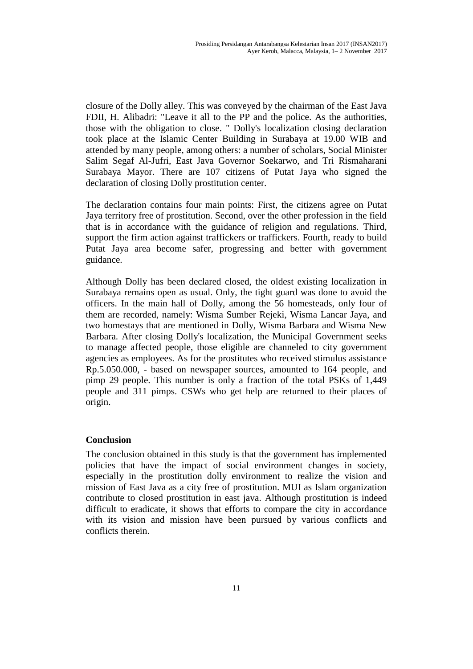closure of the Dolly alley. This was conveyed by the chairman of the East Java FDII, H. Alibadri: "Leave it all to the PP and the police. As the authorities, those with the obligation to close. " Dolly's localization closing declaration took place at the Islamic Center Building in Surabaya at 19.00 WIB and attended by many people, among others: a number of scholars, Social Minister Salim Segaf Al-Jufri, East Java Governor Soekarwo, and Tri Rismaharani Surabaya Mayor. There are 107 citizens of Putat Jaya who signed the declaration of closing Dolly prostitution center.

The declaration contains four main points: First, the citizens agree on Putat Jaya territory free of prostitution. Second, over the other profession in the field that is in accordance with the guidance of religion and regulations. Third, support the firm action against traffickers or traffickers. Fourth, ready to build Putat Jaya area become safer, progressing and better with government guidance.

Although Dolly has been declared closed, the oldest existing localization in Surabaya remains open as usual. Only, the tight guard was done to avoid the officers. In the main hall of Dolly, among the 56 homesteads, only four of them are recorded, namely: Wisma Sumber Rejeki, Wisma Lancar Jaya, and two homestays that are mentioned in Dolly, Wisma Barbara and Wisma New Barbara. After closing Dolly's localization, the Municipal Government seeks to manage affected people, those eligible are channeled to city government agencies as employees. As for the prostitutes who received stimulus assistance Rp.5.050.000, - based on newspaper sources, amounted to 164 people, and pimp 29 people. This number is only a fraction of the total PSKs of 1,449 people and 311 pimps. CSWs who get help are returned to their places of origin.

#### **Conclusion**

The conclusion obtained in this study is that the government has implemented policies that have the impact of social environment changes in society, especially in the prostitution dolly environment to realize the vision and mission of East Java as a city free of prostitution. MUI as Islam organization contribute to closed prostitution in east java. Although prostitution is indeed difficult to eradicate, it shows that efforts to compare the city in accordance with its vision and mission have been pursued by various conflicts and conflicts therein.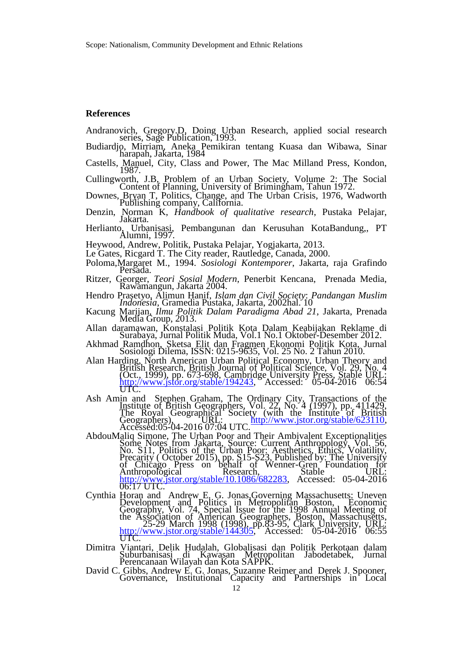#### **References**

Andranovich, Gregory.D, Doing Urban Research, applied social research series, Sage Publication, 1993.

- Budiardjo, Mirriam, Aneka Pemikiran tentang Kuasa dan Wibawa, Sinar harapah, Jakarta, 1984
- Castells, Manuel, City, Class and Power, The Mac Milland Press, Kondon, 1987.

Cullingworth, J.B, Problem of an Urban Society, Volume 2: The Social Content of Planning, University of Brimingham, Tahun 1972.

- Downes, Bryan T, Politics, Change, and The Urban Crisis, 1976, Wadworth Publishing company, California.
- Denzin, Norman K, *Handbook of qualitative research*, Pustaka Pelajar, Jakarta.
- Herlianto, Urbanisasi, Pembangunan dan Kerusuhan KotaBandung,, PT Alumni, 1997.
- Heywood, Andrew, Politik, Pustaka Pelajar, Yogjakarta, 2013.
- Le Gates, Ricgard T. The City reader, Rautledge, Canada, 2000.
- Poloma,Margaret M., 1994. *Sosiologi Kontemporer*, Jakarta, raja Grafindo Persada.
- Ritzer, Georger, *Teori Sosial Modern*, Penerbit Kencana, Prenada Media, Rawamangun, Jakarta 2004.
- Hendro Prasetyo, Alimun Hanif, *Islam dan Civil Society*: *Pandangan Muslim Indonesia*, Gramedia Pustaka, Jakarta, 2002hal. 10
- Kacung Marijan, *Ilmu Politik Dalam Paradigma Abad 21*, Jakarta, Prenada Media Group, 2013.
- Allan daramawan, Konstalasi Politik Kota Dalam Keabijakan Reklame di Surabaya, Jurnal Politik Muda, Vol.1 No.1 Oktober-Desember 2012.
- Akhmad Ramdhon, Sketsa Elit dan Fragmen Ekonomi Politik Kota, Jurnal Sosiologi Dilema, ISSN: 0215-9635, Vol. 25 No. 2 Tahun 2010.
- Alan Harding, North American Urban Political Economy, Urban Theory and British Research, British Journal of Political Science, Vol. 29, No. 4 (Oct., 1999), pp. 673-698, Cambridge University Press, Stable URL: [http://www.jstor.org/stable/194243,](http://www.jstor.org/stable/194243) Accessed: 05-04-2016 06:54 UTC.
- Ash Amin and Stephen Graham, The Ordinary City, Transactions of the Institute of British Geographers, Vol. 22, No. 4 (1997), pp. 411429, The Royal Geographical Society (with the Institute of British Geographers), CRL: www.jstor.org/stable/623110, Accessed:05-04-2016 07:04 UTC.
- AbdouMaliq Simone, The Urban Poor and Their Ambivalent Exceptionalities Some Notes from Jakarta, Source: Current Anthropology, Vol. 56, No. S11, Politics of the Urban Poor: Aesthetics, Ethics, Volatility, Precarity (October 2015), pp. S15-S23, Published by: The University of Chicago Press on behalf of Wenner-Gren Foundation for Anthropological Research, Stable URL: [http://www.jstor.org/stable/10.1086/682283,](http://www.jstor.org/stable/10.1086/682283) Accessed: 05-04-2016 06:17 UTC.
- Cynthia Horan and Andrew E. G. Jonas Governing Massachusetts: Uneven Development and Politics in Metropolitan Boston, Economic Geography, Vol. 74, Special Issue for the 1998 Annual Meeting of the Association of American Geographers, Boston, Massachusetts, 25-29 March 1998 (1998), pp.83-95, Clark University, URL: http://www.jstor.org/stable/144305. Accessed:  $05-04-2016'$  06:55 UTC.
- Dimitra Viantari, Delik Hudalah, Globalisasi dan Politik Perkotaan dalam Suburbanisasi di Kawasan Metropolitan Jabodetabek, Jurnal Perencanaan Wilayah dan Kota SAPPK.
- David C. Gibbs, Andrew E. G. Jonas, Suzanne Reimer and Derek J. Spooner, Governance, Institutional Capacity and Partnerships in Local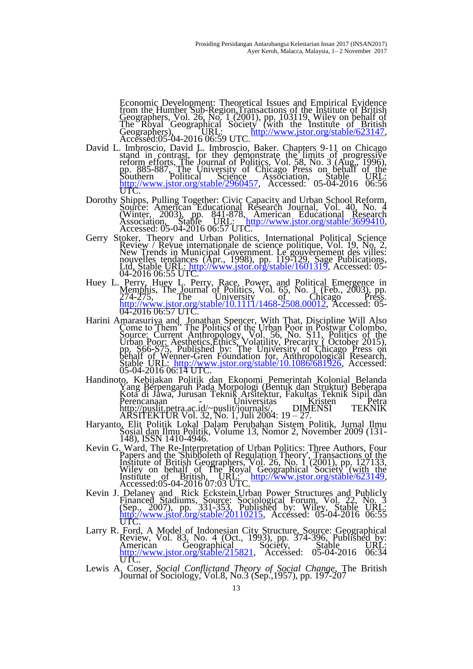Economic Development: Theoretical Issues and Empirical Evidence from the Humber Sub-Region,Transactions of the Institute of British Geographers, Vol. 26, No.  $1(2001)$ , pp.  $103119$ , Wiley on behalf of The Royal Geographical Society (with the Institute of British Geographers), CRL: [http://www.jstor.org/stable/623147,](http://www.jstor.org/stable/623147) Accessed:05-04-2016 06:59 UTC.

- David L. Imbroscio, David L. Imbroscio, Baker. Chapters 9-11 on Chicago stand in contrast, for they demonstrate the limits of progressive reform efforts, The Journal of Politics, Vol. 58, No. 3 (Aug., 1996), pp. 885-887, The University of Chicago Press on behalf of the Southern Political Science Association, Stable URL: [http://www.jstor.org/stable/2960457,](http://www.jstor.org/stable/2960457) Accessed: 05-04-2016 06:56 UTC.
- Dorothy Shipps, Pulling Together: Civic Capacity and Urban School Reform, Source: American Educational Research Journal, Vol. 40, No. 4 (Winter, 2003), pp. 841-878, American Educational Research Association, Stable URL: [http://www.jstor.org/stable/3699410,](http://www.jstor.org/stable/3699410) Accessed: 05-04-2016 06:57 UTC.
- Gerry Stoker, Theory and Urban Politics, International Political Science Review / Revue internationale de science politique, Vol. 19, No. 2, New Trends in Municipal Government. Le gouvernement des villes: nouvelles tendances (Apr., 1998), pp. 119-129, Sage Publications, Ltd, Stable URL: [http://www.jstor.org/stable/1601319,](http://www.jstor.org/stable/1601319) Accessed: 05- 04-2016 06:55 UTC.
- Huey L. Perry, Huey L. Perry, Race, Power, and Political Emergence in Memphis, The Journal of Politics, Vol. 65, No. 1 (Feb., 2003), pp.  $274-275$ , The University of Chicago Press. [http://www.jstor.org/stable/10.1111/1468-2508.00012,](http://www.jstor.org/stable/10.1111/1468-2508.00012) Accessed: 05-04-2016 06:57 UTC.
- Harini Amarasuriya and Jonathan Spencer, With That, Discipline Will Also Come to Them" The Politics of the Urban Poor in Postwar Colombo, Source: Current Anthropology, Vol. 56, No. S11, Politics of the Urban Poor: Aesthetics,Ethics, Volatility, Precarity ( October 2015), pp. S66-S75, Published by: The University of Chicago Press on behalf of Wenner-Gren Foundation for, Anthropological Research, Stable URL: [http://www.jstor.org/stable/10.1086/681926,](http://www.jstor.org/stable/10.1086/681926) Accessed: 05-04-2016 06:14 UTC.
- Handinoto, Kebijakan Politik dan Ekonomi Pemerintah Kolonial Belanda Yang Berpengaruh Pada Morpologi (Bentuk dan Struktur) Beberapa Kota di Jawa, Jurusan Teknik Arsitektur, Fakultas Teknik Sipil dan Perencanaan - Universitas Kristen Petra http://puslit.petra.ac.id/~puslit/journals/, DIMENSI TEKNIK ARSITEKTUR Vol. 32, No. 1, Juli 2004: 19 – 27.
- Haryanto, Elit Politik Lokal Dalam Perubahan Sistem Politik, Jurnal Ilmu Sosial dan Ilmu Politik, Volume 13, Nomor 2, November 2009 (131- 148), ISSN 1410-4946.
- Kevin G. Ward, The Re-Interpretation of Urban Politics: Three Authors, Four Papers and the 'Shibboleth of Regulation Theory', Transactions of the Institute of British Geographers, Vol. 26, No. 1 (2001), pp. 127133, Wiley on behalf of The Royal Geographical Society (with the Institute of British, URL: [http://www.jstor.org/stable/623149,](http://www.jstor.org/stable/623149) Accessed:05-04-2016 07:03 UTC.
- Kevin J. Delaney and Rick Eckstein, Urban Power Structures and Publicly Financed Stadiums, Source: Sociological Forum, Vol. 22, No. 3  $(Sep, 2007)$ , pp. 331-353, Published by: Wiley, Stable URL: [http://www.jstor.org/stable/20110215,](http://www.jstor.org/stable/20110215) Accessed: 05-04-2016 06:55 http://
- Larry R. Ford, A Model of Indonesian City Structure, Source: Geographical Review, Vol. 83, No. 4 (Oct., 1993), pp. 374-396, Published by: American Geographical Society, Stable URL: [http://www.jstor.org/stable/215821,](http://www.jstor.org/stable/215821) Accessed: 05-04-2016 06:34 UTC.
- Lewis A. Coser, *Social Conflictand Theory of Social Change*, The British Journal of Sociology, Vol.8, No.3 (Sep.,1957), pp. 197-207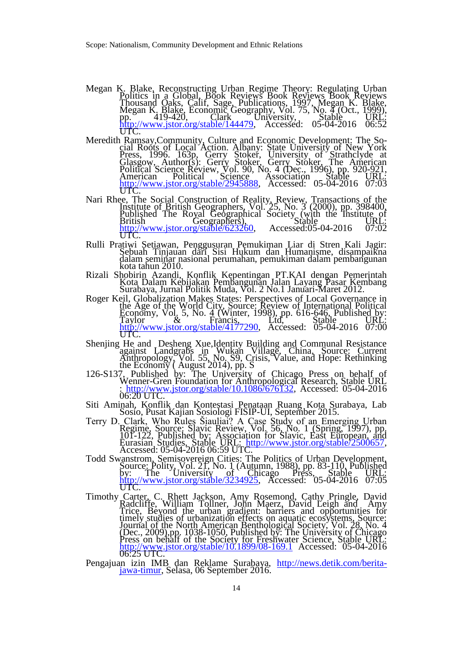- Megan K. Blake, Reconstructing Urban Regime Theory: Regulating Urban Politics in a Global, Book Reviews Book Reviews Book Reviews Thousand Oaks, Calif, Sage, Publications, 1997, Megan K. Blake, Megan K. Blake, Economic Geography, Vol. 75, No. 4 (Oct., 1999), pp.  $419-420$ , Clark University, Stable URL: [http://www.jstor.org/stable/144479,](http://www.jstor.org/stable/144479) Accessed: 05-04-2016 06:52 UTC.
- Meredith Ramsay,Community, Culture and Economic Development: The Social Roots of Local Action. Albany: State University of New York Press, 1996. 163p, Gerry Stoker, University of Strathclyde at Glasgow, Author(s): Gerry Stoker, Gerry Stoker, The American Political Science Review, Vol. 90, No. 4 (Dec., 1996), pp. 920-921, American Political Science Association Stable URL: [http://www.jstor.org/stable/2945888,](http://www.jstor.org/stable/2945888) Accessed: 05-04-2016 07:03 UTC.
- Nari Rhee, The Social Construction of Reality, Review, Transactions of the Institute of British Geographers, Vol. 25, No. 3 (2000), pp. 398400, Published The Royal Geographical Society (with the Institute of British Geographers), Stable et and URL: [http://www.jstor.org/stable/623260,](http://www.jstor.org/stable/623260) Accessed:05-04-2016  $07:02$ UTC.
- Rulli Pratiwi Setiawan, Penggusuran Pemukiman Liar di Stren Kali Jagir: Sebuah Tinjauan dari Sisi Hukum dan Humanisme, disampaikna dalam seminar nasional perumahan, pemukiman dalam pembangunan kota tahun 2010.
- Rizali Shobirin Azandi, Konflik Kepentingan PT.KAI dengan Pemerintah Kota Dalam Kebijakan Pembangunan Jalan Layang Pasar Kembang Surabaya, Jurnal Politik Muda, Vol. 2 No.1 Januari-Maret 2012.
- Roger Keil, Globalization Makes States: Perspectives of Local Governance in the Age of the World City, Source: Review of International Political Economy, Vol. 5, No. 4 (Winter, 1998), pp. 616-646, Published by: Taylor  $\&$  Francis, Ltd, Stable URL: [http://www.jstor.org/stable/4177290,](http://www.jstor.org/stable/4177290) Accessed: 05-04-2016 07:00 UTC.
- Shenjing He and Desheng Xue, Identity Building and Communal Resistance against Landgrabs in Wukan Village, China, Source: Current Anthropology, Vol. 55, No. S9, Crisis, Value, and Hope: Rethinking the Economy  $($  August 2014), pp.  $\overline{S}$
- 126-S137, Published by: The University of Chicago Press on behalf of Wenner-Gren Foundation for Anthropological Research, Stable URL : [http://www.jstor.org/stable/10.1086/676132,](http://www.jstor.org/stable/10.1086/676132) Accessed: 05-04-2016 06:20 UTC.
- Siti Aminah, Konflik dan Kontestasi Penataan Ruang Kota Surabaya, Lab Sosio, Pusat Kajian Sosiologi FISIP-UI, September 2015.
- Terry D. Clark, Who Rules Šiauliai? A Case Study of an Emerging Urban Regime, Source: Slavic Review, Vol. 56, No. 1 (Spring, 1997), pp. 101-122, Published by: Association for Slavic, East European, and Eurasian Studies, Stable URL: [http://www.jstor.org/stable/2500657,](http://www.jstor.org/stable/2500657) Accessed: 05-04-2016 06:59 UTC.
- Todd Swanstrom, Semisovereign Cities: The Politics of Urban Development, Source: Polity, Vol. 21, No. 1 (Autumn, 1988), pp. 83-110, Published by: The University of Chicago Press, Stable URL: [http://www.jstor.org/stable/3234925,](http://www.jstor.org/stable/3234925) Accessed: 05-04-2016 07:05 UTC.
- Timothy Carter, C. Rhett Jackson, Amy Rosemond, Cathy Pringle, David Radcliffe, William Tollner, John Maerz, David Leigh and Amy Trice, Beyond the urban gradient: barriers and opportunities for timely studies of urbanization effects on aquatic ecosystems, Source: Journal of the North American Benthological Society, Vol. 28, No. 4 (Dec., 2009),pp. 1038-1050, Published by: The University of Chicago Press on behalf of the Society for Freshwater Science, Stable URL: <http://www.jstor.org/stable/10.1899/08-169.1> Accessed: 05-04-2016 06:25 UTC.
- Pengajuan izin IMB dan Reklame Surabaya, [http://news.detik.com/berita](http://news.detik.com/berita-jawa-timur)[jawa-timur,](http://news.detik.com/berita-jawa-timur) Selasa, 06 September 2016.